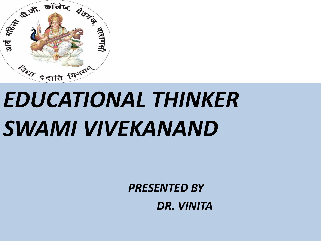

# *EDUCATIONAL THINKER SWAMI VIVEKANAND*

 *PRESENTED BY*

 *DR. VINITA*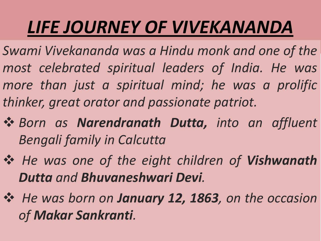#### *LIFE JOURNEY OF VIVEKANANDA*

*Swami Vivekananda was a Hindu monk and one of the most celebrated spiritual leaders of India. He was more than just a spiritual mind; he was a prolific thinker, great orator and passionate patriot.*

- $\div$  *Born as Narendranath Dutta, into an affluent Bengali family in Calcutta*
- *He was one of the eight children of Vishwanath Dutta and Bhuvaneshwari Devi.*
- *He was born on January 12, 1863, on the occasion of Makar Sankranti.*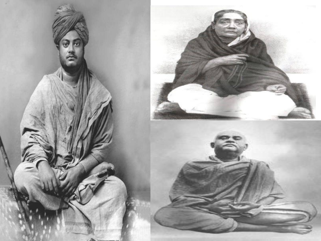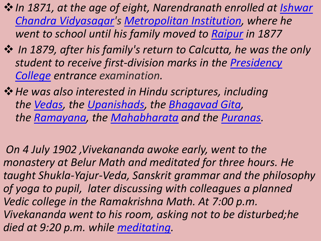- *In 1871, at the age of eight, Narendranath enrolled at [Ishwar](https://en.wikipedia.org/wiki/Ishwar_Chandra_Vidyasagar) [Chandra Vidyasagar](https://en.wikipedia.org/wiki/Ishwar_Chandra_Vidyasagar)'s [Metropolitan Institution,](https://en.wikipedia.org/wiki/Vidyasagar_College) where he went to school until his family moved to [Raipur](https://en.wikipedia.org/wiki/Raipur) in 1877*
- *In 1879, after his family's return to Calcutta, he was the only student to receive first-division marks in the [Presidency](https://en.wikipedia.org/wiki/Presidency_University,_Kolkata)  [College](https://en.wikipedia.org/wiki/Presidency_University,_Kolkata) entrance examination.*
- $\dots$  **He was also interested in Hindu scriptures, including** *the [Vedas](https://en.wikipedia.org/wiki/Vedas), the [Upanishads](https://en.wikipedia.org/wiki/Upanishads), the [Bhagavad Gita,](https://en.wikipedia.org/wiki/Bhagavad_Gita) the [Ramayana,](https://en.wikipedia.org/wiki/Ramayana) the [Mahabharata](https://en.wikipedia.org/wiki/Mahabharata) and the [Puranas.](https://en.wikipedia.org/wiki/Puranas)*
- *On 4 July 1902 ,Vivekananda awoke early, went to the monastery at Belur Math and meditated for three hours. He taught Shukla-Yajur-Veda, Sanskrit grammar and the philosophy of yoga to pupil, later discussing with colleagues a planned Vedic college in the Ramakrishna Math. At 7:00 p.m. Vivekananda went to his room, asking not to be disturbed;he died at 9:20 p.m. while [meditating](https://en.wikipedia.org/wiki/Meditation).*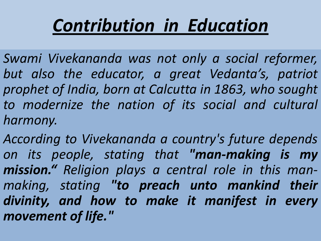### *Contribution in Education*

- *Swami Vivekananda was not only a social reformer, but also the educator, a great Vedanta's, patriot prophet of India, born at Calcutta in 1863, who sought to modernize the nation of its social and cultural harmony.*
- *According to Vivekananda a country's future depends on its people, stating that "man-making is my mission. " Religion plays a central role in this manmaking, stating "to preach unto mankind their divinity, and how to make it manifest in every movement of life. "*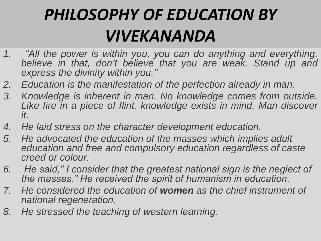#### *PHILOSOPHY OF EDUCATION BY VIVEKANANDA*

- *1. "All the power is within you, you can do anything and everything, believe in that, don't believe that you are weak. Stand up and express the divinity within you."*
- *2. Education is the manifestation of the perfection already in man.*
- *3. Knowledge is inherent in man. No knowledge comes from outside. Like fire in a piece of flint, knowledge exists in mind. Man discover it.*
- *4. He laid stress on the character development education.*
- *5. He advocated the education of the masses which implies adult education and free and compulsory education regardless of caste creed or colour.*
- *6. He said," I consider that the greatest national sign is the neglect of the masses." He received the spirit of humanism in education.*
- *7. He considered the education of women as the chief instrument of national regeneration.*
- *8. He stressed the teaching of western learning.*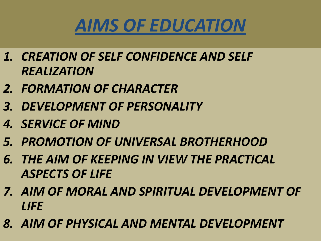#### *AIMS OF EDUCATION*

- *1. CREATION OF SELF CONFIDENCE AND SELF REALIZATION*
- *2. FORMATION OF CHARACTER*
- *3. DEVELOPMENT OF PERSONALITY*
- *4. SERVICE OF MIND*
- *5. PROMOTION OF UNIVERSAL BROTHERHOOD*
- *6. THE AIM OF KEEPING IN VIEW THE PRACTICAL ASPECTS OF LIFE*
- *7. AIM OF MORAL AND SPIRITUAL DEVELOPMENT OF LIFE*
- *8. AIM OF PHYSICAL AND MENTAL DEVELOPMENT*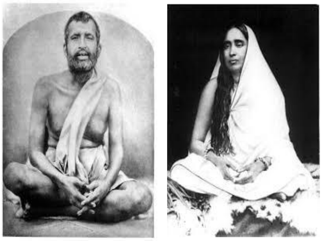

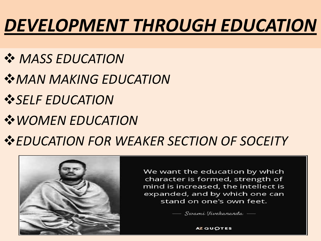#### *DEVELOPMENT THROUGH EDUCATION*

- **❖ MASS EDUCATION**
- *<u>❖ MAN MAKING EDUCATION</u>*
- *❖ SELF EDUCATION*
- *WOMEN EDUCATION*
- **☆EDUCATION FOR WEAKER SECTION OF SOCEITY**



We want the education by which character is formed, strength of mind is increased, the intellect is expanded, and by which one can stand on one's own feet.

Swami Vivekananda —

**AZQUOTES**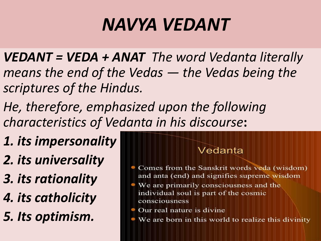### *NAVYA VEDANT*

*VEDANT = VEDA + ANAT The word Vedanta literally means the end of the Vedas — the Vedas being the scriptures of the Hindus.* 

*He, therefore, emphasized upon the following characteristics of Vedanta in his discourse***:**

- *1. its impersonality*
- *2. its universality*
- *3. its rationality*
- *4. its catholicity*
- *5. Its optimism.*

#### Vedanta

- Comes from the Sanskrit words veda (wisdom) and anta (end) and signifies supreme wisdom
- We are primarily consciousness and the individual soul is part of the cosmic consciousness
- Our real nature is divine
- We are born in this world to realize this divinity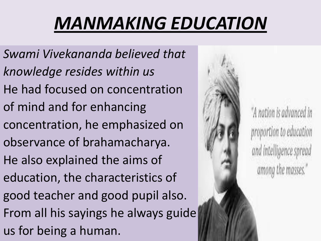## *MANMAKING EDUCATION*

*Swami Vivekananda believed that knowledge resides within us* He had focused on concentration of mind and for enhancing concentration, he emphasized on observance of brahamacharya. He also explained the aims of education, the characteristics of good teacher and good pupil also. From all his sayings he always guide us for being a human.

"A nation is advanced in proportion to education and intelligence spread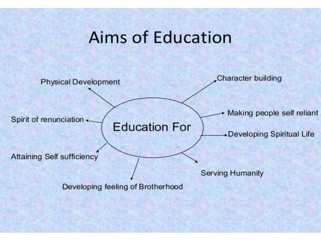#### **Aims of Education**